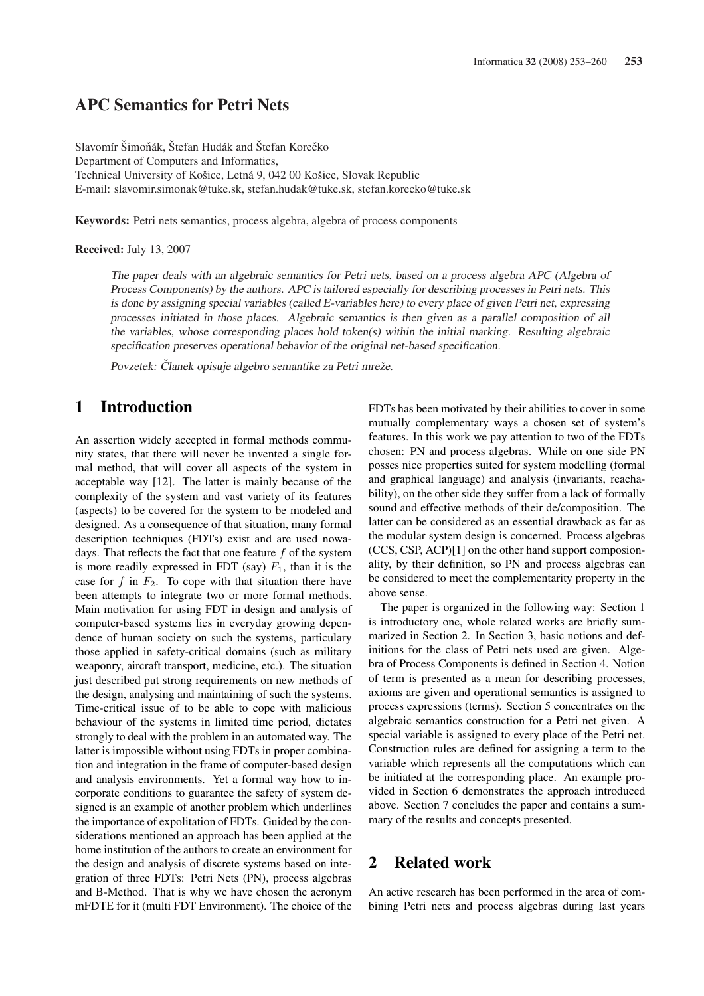# **APC Semantics for Petri Nets**

Slavomír Šimoňák, Štefan Hudák and Štefan Korečko Department of Computers and Informatics, Technical University of Košice, Letná 9, 042 00 Košice, Slovak Republic E-mail: slavomir.simonak@tuke.sk. stefan.hudak@tuke.sk. stefan.korecko@tuke.sk

**Keywords:** Petri nets semantics, process algebra, algebra of process components

**Received: July 13, 2007** 

The paper deals with an algebraic semantics for Petri nets, based on a process algebra APC (Algebra of Process Components) by the authors. APC is tailored especially for describing processes in Petri nets. This is done by assigning special variables (called E-variables here) to every place of given Petri net, expressing processes initiated in those places. Algebraic semantics is then given as a parallel composition of all the variables, whose corresponding places hold token(s) within the initial marking. Resulting algebraic specification preserves operational behavior of the original net-based specification.

Povzetek: Članek opisuje algebro semantike za Petri mreže.

# $\mathbf{1}$ **Introduction**

An assertion widely accepted in formal methods community states, that there will never be invented a single formal method, that will cover all aspects of the system in acceptable way [12]. The latter is mainly because of the complexity of the system and vast variety of its features (aspects) to be covered for the system to be modeled and designed. As a consequence of that situation, many formal description techniques (FDTs) exist and are used nowadays. That reflects the fact that one feature  $f$  of the system is more readily expressed in FDT (say)  $F_1$ , than it is the case for f in  $F_2$ . To cope with that situation there have been attempts to integrate two or more formal methods. Main motivation for using FDT in design and analysis of computer-based systems lies in everyday growing dependence of human society on such the systems, particulary those applied in safety-critical domains (such as military weaponry, aircraft transport, medicine, etc.). The situation just described put strong requirements on new methods of the design, analysing and maintaining of such the systems. Time-critical issue of to be able to cope with malicious behaviour of the systems in limited time period, dictates strongly to deal with the problem in an automated way. The latter is impossible without using FDTs in proper combination and integration in the frame of computer-based design and analysis environments. Yet a formal way how to incorporate conditions to guarantee the safety of system designed is an example of another problem which underlines the importance of expolitation of FDTs. Guided by the considerations mentioned an approach has been applied at the home institution of the authors to create an environment for the design and analysis of discrete systems based on integration of three FDTs: Petri Nets (PN), process algebras and B-Method. That is why we have chosen the acronym mFDTE for it (multi FDT Environment). The choice of the

FDTs has been motivated by their abilities to cover in some mutually complementary ways a chosen set of system's features. In this work we pay attention to two of the FDTs chosen: PN and process algebras. While on one side PN posses nice properties suited for system modelling (formal and graphical language) and analysis (invariants, reachability), on the other side they suffer from a lack of formally sound and effective methods of their de/composition. The latter can be considered as an essential drawback as far as the modular system design is concerned. Process algebras (CCS, CSP, ACP)[1] on the other hand support composionality, by their definition, so PN and process algebras can be considered to meet the complementarity property in the above sense.

The paper is organized in the following way: Section 1 is introductory one, whole related works are briefly summarized in Section 2. In Section 3, basic notions and definitions for the class of Petri nets used are given. Algebra of Process Components is defined in Section 4. Notion of term is presented as a mean for describing processes, axioms are given and operational semantics is assigned to process expressions (terms). Section 5 concentrates on the algebraic semantics construction for a Petri net given. A special variable is assigned to every place of the Petri net. Construction rules are defined for assigning a term to the variable which represents all the computations which can be initiated at the corresponding place. An example provided in Section 6 demonstrates the approach introduced above. Section 7 concludes the paper and contains a summary of the results and concepts presented.

### **Related work**  $\boldsymbol{2}$

An active research has been performed in the area of combining Petri nets and process algebras during last years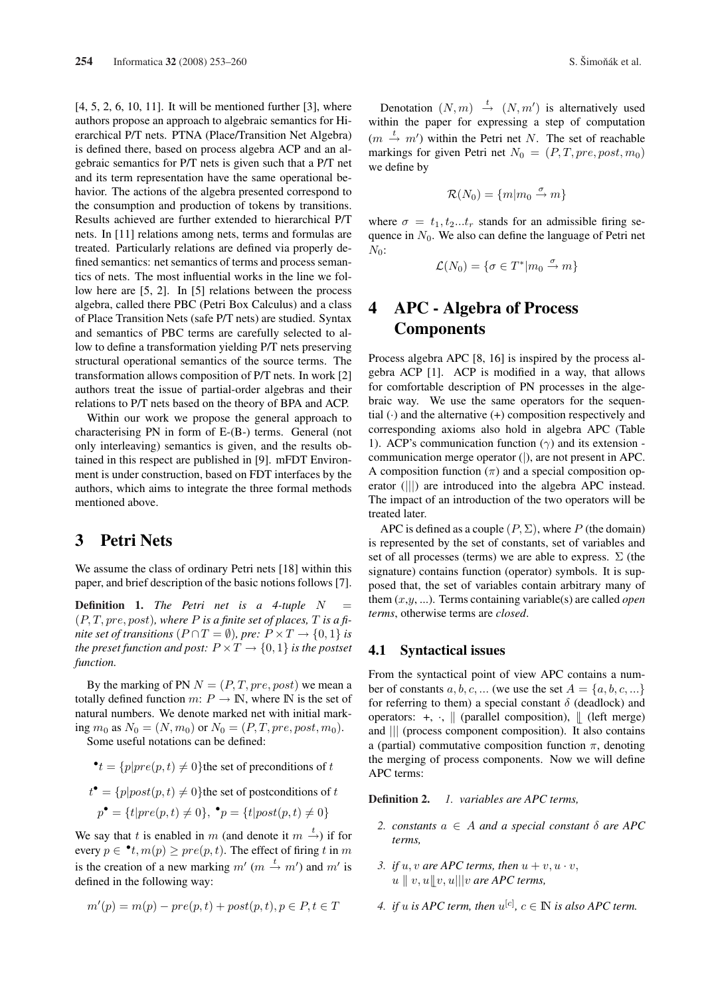$[4, 5, 2, 6, 10, 11]$ . It will be mentioned further  $[3]$ , where authors propose an approach to algebraic semantics for Hierarchical P/T nets. PTNA (Place/Transition Net Algebra) is defined there, based on process algebra ACP and an algebraic semantics for P/T nets is given such that a P/T net and its term representation have the same operational behavior. The actions of the algebra presented correspond to the consumption and production of tokens by transitions. Results achieved are further extended to hierarchical P/T nets. In [11] relations among nets, terms and formulas are treated. Particularly relations are defined via properly defined semantics: net semantics of terms and process semantics of nets. The most influential works in the line we follow here are [5, 2]. In [5] relations between the process algebra, called there PBC (Petri Box Calculus) and a class of Place Transition Nets (safe P/T nets) are studied. Syntax and semantics of PBC terms are carefully selected to allow to define a transformation yielding P/T nets preserving structural operational semantics of the source terms. The transformation allows composition of P/T nets. In work [2] authors treat the issue of partial-order algebras and their relations to P/T nets based on the theory of BPA and ACP.

Within our work we propose the general approach to characterising PN in form of E-(B-) terms. General (not only interleaving) semantics is given, and the results obtained in this respect are published in [9]. mFDT Environment is under construction, based on FDT interfaces by the authors, which aims to integrate the three formal methods mentioned above.

### 3 **Petri Nets**

We assume the class of ordinary Petri nets [18] within this paper, and brief description of the basic notions follows [7].

**Definition 1.** The Petri net is a 4-tuple  $N$  $\overline{\phantom{0}}$  $(P, T, pre, post)$ , where P is a finite set of places, T is a finite set of transitions  $(P \cap T = \emptyset)$ , pre:  $P \times T \rightarrow \{0, 1\}$  is the preset function and post:  $P \times T \rightarrow \{0, 1\}$  is the postset function.

By the marking of PN  $N = (P, T, pre, post)$  we mean a totally defined function m:  $P \rightarrow \mathbb{N}$ , where  $\mathbb N$  is the set of natural numbers. We denote marked net with initial marking  $m_0$  as  $N_0 = (N, m_0)$  or  $N_0 = (P, T, pre, post, m_0)$ .

Some useful notations can be defined:

•
$$
t = {p|pre(p, t) \neq 0}
$$
 the set of preconditions of t

$$
t^{\bullet} = \{p|post(p, t) \neq 0\}
$$
 the set of postconditions of t

$$
p^{\bullet} = \{t | pre(p, t) \neq 0\}, \, \mathbf{^{\bullet}}p = \{t | post(p, t) \neq 0\}
$$

We say that t is enabled in m (and denote it  $m \xrightarrow{t}$ ) if for every  $p \in \cdot^{\bullet} t$ ,  $m(p) \ge pre(p, t)$ . The effect of firing t in m is the creation of a new marking  $m'(m \stackrel{t}{\rightarrow} m')$  and  $m'$  is defined in the following way:

$$
m'(p) = m(p) - pre(p, t) + post(p, t), p \in P, t \in T
$$

Denotation  $(N, m) \stackrel{t}{\rightarrow} (N, m')$  is alternatively used within the paper for expressing a step of computation  $(m \stackrel{t}{\rightarrow} m')$  within the Petri net N. The set of reachable markings for given Petri net  $N_0 = (P, T, pre, post, m_0)$ we define by

$$
\mathcal{R}(N_0) = \{m|m_0 \stackrel{\sigma}{\rightarrow} m\}
$$

where  $\sigma = t_1, t_2...t_r$  stands for an admissible firing sequence in  $N_0$ . We also can define the language of Petri net  $N_0$ :

$$
\mathcal{L}(N_0) = \{ \sigma \in T^* | m_0 \overset{\sigma}{\to} m \}
$$

# **APC - Algebra of Process**  $\boldsymbol{4}$ **Components**

Process algebra APC [8, 16] is inspired by the process algebra ACP [1]. ACP is modified in a way, that allows for comfortable description of PN processes in the algebraic way. We use the same operators for the sequential  $\left(\cdot\right)$  and the alternative  $\left(\cdot\right)$  composition respectively and corresponding axioms also hold in algebra APC (Table 1). ACP's communication function  $(\gamma)$  and its extension communication merge operator (|), are not present in APC. A composition function  $(\pi)$  and a special composition operator (|||) are introduced into the algebra APC instead. The impact of an introduction of the two operators will be treated later.

APC is defined as a couple  $(P, \Sigma)$ , where P (the domain) is represented by the set of constants, set of variables and set of all processes (terms) we are able to express.  $\Sigma$  (the signature) contains function (operator) symbols. It is supposed that, the set of variables contain arbitrary many of them  $(x,y,...)$ . Terms containing variable(s) are called *open* terms, otherwise terms are closed.

#### 4.1 **Syntactical issues**

From the syntactical point of view APC contains a number of constants a, b, c, ... (we use the set  $A = \{a, b, c, ...\}$ for referring to them) a special constant  $\delta$  (deadlock) and operators:  $+, \cdot, \parallel$  (parallel composition),  $\parallel$  (left merge) and || (process component composition). It also contains a (partial) commutative composition function  $\pi$ , denoting the merging of process components. Now we will define APC terms:

Definition 2. 1. variables are APC terms.

- 2. constants  $a \in A$  and a special constant  $\delta$  are APC terms,
- 3. if u, v are APC terms, then  $u + v$ ,  $u \cdot v$ ,  $u \parallel v, u \parallel v, u \parallel$  w are APC terms,
- 4. if u is APC term, then  $u^{[c]}$ ,  $c \in \mathbb{N}$  is also APC term.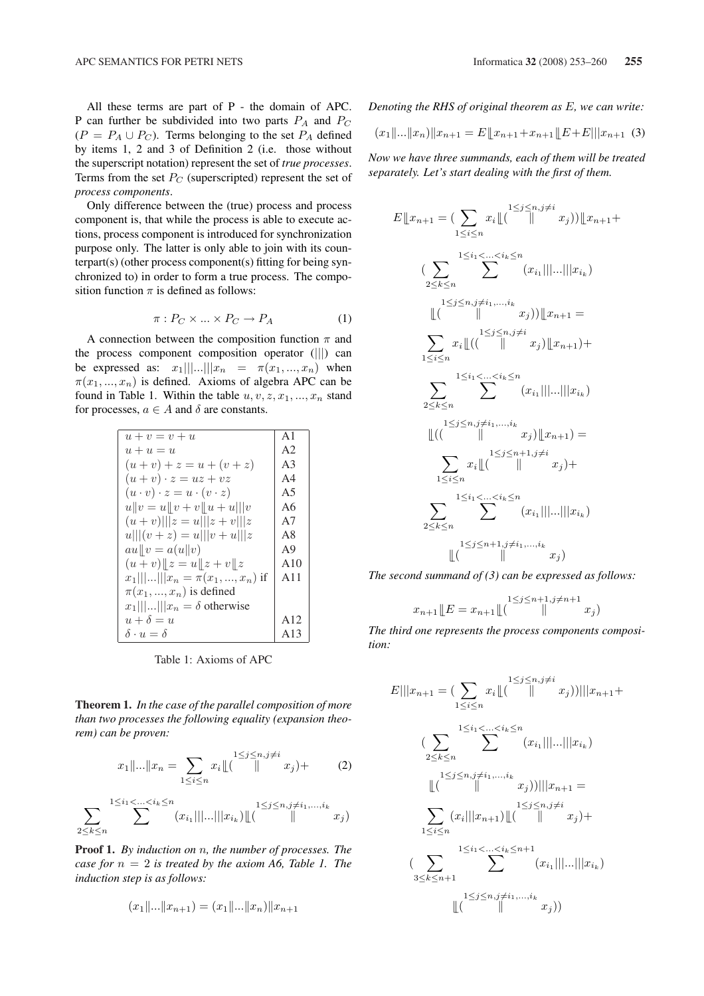All these terms are part of P - the domain of APC. P can further be subdivided into two parts  $P_A$  and  $P_C$  $(P = P_A \cup P_C)$ . Terms belonging to the set  $P_A$  defined by items 1, 2 and 3 of Definition 2 (i.e. those without the superscript notation) represent the set of *true processes*. Terms from the set  $P_C$  (superscripted) represent the set of process components.

Only difference between the (true) process and process component is, that while the process is able to execute actions, process component is introduced for synchronization purpose only. The latter is only able to join with its counterpart(s) (other process component(s) fitting for being synchronized to) in order to form a true process. The composition function  $\pi$  is defined as follows:

$$
\pi: P_C \times \dots \times P_C \to P_A \tag{1}
$$

A connection between the composition function  $\pi$  and the process component composition operator (|||) can be expressed as:  $x_1||...||x_n = \pi(x_1,...,x_n)$  when  $\pi(x_1,...,x_n)$  is defined. Axioms of algebra APC can be found in Table 1. Within the table  $u, v, z, x_1, ..., x_n$  stand for processes,  $a \in A$  and  $\delta$  are constants.

| $u+v=v+u$                                   | A1             |
|---------------------------------------------|----------------|
| $u+u=u$                                     | A <sub>2</sub> |
| $(u + v) + z = u + (v + z)$                 | A <sub>3</sub> |
| $(u + v) \cdot z = uz + vz$                 | A4             |
| $(u \cdot v) \cdot z = u \cdot (v \cdot z)$ | A5             |
| $u  v = u  v + v  u + u  v$                 | A6             |
| $(u + v)    z = u    z + v    z$            | A7             |
| $u   (v+z) = u   v+u   z$                   | A8             |
| $au  v = a(u  v)$                           | A <sup>9</sup> |
| $(u + v)$ $z = u    z + v    z$             | A10            |
| $x_1    x_n = \pi(x_1,,x_n)$ if             | A11            |
| $\pi(x_1, , x_n)$ is defined                |                |
| $x_1    x_n = \delta$ otherwise             |                |
| $u+\delta=u$                                | A12            |
| $\delta \cdot u = \delta$                   | A13            |

Table 1: Axioms of APC

Theorem 1. In the case of the parallel composition of more than two processes the following equality (expansion theorem) can be proven:

$$
x_1 \| \dots \| x_n = \sum_{1 \le i \le n} x_i \| \big( \frac{1 \le j \le n, j \ne i}{n} \big) + \tag{2}
$$

$$
\sum_{2 \leq k \leq n} \sum_{i \leq i_1 \leq \dots \leq i_k \leq n} \sum_{(x_{i_1} | ||...|| | x_{i_k}) \perp (i_1, \dots, i_k, x_j)} (x_{i_1} || ... || x_{i_k}) \perp (i_1, \dots, i_k, x_j)
$$

**Proof 1.** By induction on  $n$ , the number of processes. The case for  $n = 2$  is treated by the axiom A6, Table 1. The induction step is as follows:

$$
(x_1\|\ldots\|x_{n+1})=(x_1\|\ldots\|x_n)\|x_{n+1}
$$

Denoting the RHS of original theorem as  $E$ , we can write:

$$
(x_1||...||x_n)||x_{n+1} = E[|x_{n+1}+x_{n+1}||E+E|||x_{n+1} \quad (3)
$$

Now we have three summands, each of them will be treated separately. Let's start dealing with the first of them.

$$
E \|\, x_{n+1} = \sum_{1 \leq i \leq n} x_i \|\, \binom{\sum_{1 \leq i \leq n} x_i}{n} \|\, \binom{\sum_{2 \leq k \leq n} 1 \leq i_1 < \dots < i_k \leq n}{n}}{\sum_{2 \leq k \leq n} \sum_{i=1, \dots, i_k} (x_{i_1} |\|\ldots \|\, |x_{i_k})
$$
\n
$$
\|\, \binom{\sum_{1 \leq j \leq n, j \neq i_1, \dots, i_k}}{n} \|\, \binom{\sum_{1 \leq j \leq n, j \neq i_1, \dots, i_k}}{n} \|\, \binom{\sum_{1 \leq i \leq n} x_i \|\, \binom{\sum_{1 \leq j \leq n, j \neq i_1, \dots, i_k}}{n}}{n} \|\, \binom{\sum_{1 \leq j \leq n, j \neq i_1, \dots, i_k}}{n} \|\, \binom{\sum_{1 \leq j \leq n, j \neq i_1, \dots, i_k}}{n} \|\, \binom{\sum_{1 \leq i \leq n, j \neq i_1, \dots, i_k}}{n} \|\, \binom{\sum_{1 \leq i \leq n, j \neq i_1, \dots, i_k}}{n} \|\, \binom{\sum_{1 \leq i \leq n, j \neq i_1, \dots, i_k}}{n} \|\, \binom{\sum_{1 \leq j \leq n+1, j \neq i_1, \dots, i_k}}{n} \|\, \binom{\sum_{1 \leq j \leq n+1, j \neq i_1, \dots, i_k}}{n} \|\, \binom{\sum_{1 \leq j \leq n+1, j \neq i_1, \dots, i_k}}{n} \|\, \binom{\sum_{1 \leq j \leq n+1, j \neq i_1, \dots, i_k}}{n} \|\, \binom{\sum_{1 \leq j \leq n+1, j \neq i_1, \dots, i_k}}{n} \|\, \binom{\sum_{1 \leq j \leq n+1, j \neq i_1, \dots, i_k}}{n} \|\, \binom{\sum_{1 \leq j \leq n, j \neq i_1, \dots, i_k}}{n} \|\, \binom{\sum_{1 \leq j \leq n, j \neq i_1, \dots, i_k}}{
$$

The second summand of  $(3)$  can be expressed as follows:

$$
x_{n+1} \lfloor E = x_{n+1} \lfloor \left( \frac{1 \le j \le n+1, j \ne n+1}{\|} x_j \right)
$$

The third one represents the process components composi $tion:$ 

$$
E|||x_{n+1} = \left(\sum_{1 \leq i \leq n} x_i \right) \left(\frac{1 \leq j \leq n, j \neq i}{\|T\|} x_j\right) |||x_{n+1} +
$$
  

$$
\left(\sum_{2 \leq k \leq n} \sum_{1 \leq i_1 < \dots < i_k \leq n} (x_{i_1} ||...|| |x_{i_k})\right)
$$
  

$$
\left(\left(\frac{1 \leq j \leq n, j \neq i_1, \dots, i_k}{\|T\|} x_j\right) |||x_{n+1}\right) =
$$
  

$$
\sum_{1 \leq i \leq n} (x_i |||x_{n+1}) \left(\left(\frac{1 \leq j \leq n, j \neq i}{\|T\|} x_j\right) +
$$
  

$$
\left(\sum_{3 \leq k \leq n+1} \sum_{1 \leq i_1 < \dots < i_k \leq n+1} (x_{i_1} |||...|| |x_{i_k})\right)
$$
  

$$
\left(\left(\sum_{1 \leq j \leq n, j \neq i_1, \dots, i_k} x_j\right)\right)
$$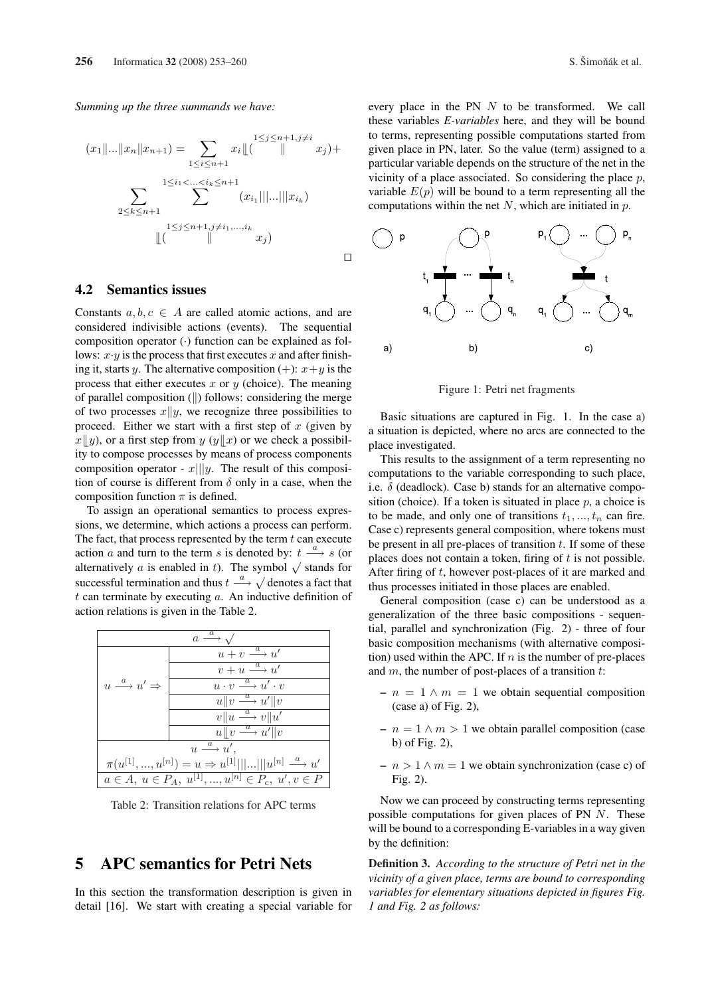Summing up the three summands we have:

$$
(x_1 \|... \|x_n\|x_{n+1}) = \sum_{1 \le i \le n+1} x_i \left\lfloor \binom{1 \le j \le n+1, j \ne i}{n} x_j \right\rfloor +
$$

$$
\sum_{2 \le k \le n+1} \sum_{1 \le j \le n+1, j \ne i_1, ..., i_k} (x_{i_1} \| ... \| x_{i_k})
$$

$$
\left\lfloor \binom{1 \le j \le n+1, j \ne i_1, ..., i_k}{n} x_j \right\rfloor
$$

#### $4.2$ **Semantics issues**

Constants  $a, b, c \in A$  are called atomic actions, and are considered indivisible actions (events). The sequential composition operator  $\left(\cdot\right)$  function can be explained as follows:  $x \cdot y$  is the process that first executes x and after finishing it, starts y. The alternative composition (+):  $x + y$  is the process that either executes  $x$  or  $y$  (choice). The meaning of parallel composition  $(\|)$  follows: considering the merge of two processes  $x||y$ , we recognize three possibilities to proceed. Either we start with a first step of  $x$  (given by  $x||y$ , or a first step from y  $(y||x)$  or we check a possibility to compose processes by means of process components composition operator -  $x|||y$ . The result of this composition of course is different from  $\delta$  only in a case, when the composition function  $\pi$  is defined.

To assign an operational semantics to process expressions, we determine, which actions a process can perform. The fact, that process represented by the term  $t$  can execute action a and turn to the term s is denoted by:  $t \stackrel{a}{\longrightarrow} s$  (or alternatively a is enabled in t). The symbol  $\sqrt{\ }$  stands for successful termination and thus  $t \stackrel{a}{\longrightarrow} \sqrt{\ }$  denotes a fact that  $t$  can terminate by executing  $a$ . An inductive definition of action relations is given in the Table 2.



Table 2: Transition relations for APC terms

# **APC semantics for Petri Nets** 5

In this section the transformation description is given in detail [16]. We start with creating a special variable for every place in the PN  $N$  to be transformed. We call these variables E-variables here, and they will be bound to terms, representing possible computations started from given place in PN, later. So the value (term) assigned to a particular variable depends on the structure of the net in the vicinity of a place associated. So considering the place  $p$ , variable  $E(p)$  will be bound to a term representing all the computations within the net  $N$ , which are initiated in  $p$ .



Figure 1: Petri net fragments

Basic situations are captured in Fig. 1. In the case a) a situation is depicted, where no arcs are connected to the place investigated.

This results to the assignment of a term representing no computations to the variable corresponding to such place, i.e.  $\delta$  (deadlock). Case b) stands for an alternative composition (choice). If a token is situated in place  $p$ , a choice is to be made, and only one of transitions  $t_1, ..., t_n$  can fire. Case c) represents general composition, where tokens must be present in all pre-places of transition  $t$ . If some of these places does not contain a token, firing of  $t$  is not possible. After firing of  $t$ , however post-places of it are marked and thus processes initiated in those places are enabled.

General composition (case c) can be understood as a generalization of the three basic compositions - sequential, parallel and synchronization (Fig. 2) - three of four basic composition mechanisms (with alternative composition) used within the APC. If  $n$  is the number of pre-places and  $m$ , the number of post-places of a transition  $t$ :

- $n = 1 \wedge m = 1$  we obtain sequential composition  $(case a)$  of Fig. 2),
- $n = 1 \wedge m > 1$  we obtain parallel composition (case b) of Fig.  $2$ ),
- $n > 1 \wedge m = 1$  we obtain synchronization (case c) of Fig.  $2$ ).

Now we can proceed by constructing terms representing possible computations for given places of PN  $N$ . These will be bound to a corresponding E-variables in a way given by the definition:

**Definition 3.** According to the structure of Petri net in the vicinity of a given place, terms are bound to corresponding variables for elementary situations depicted in figures Fig. 1 and Fig. 2 as follows: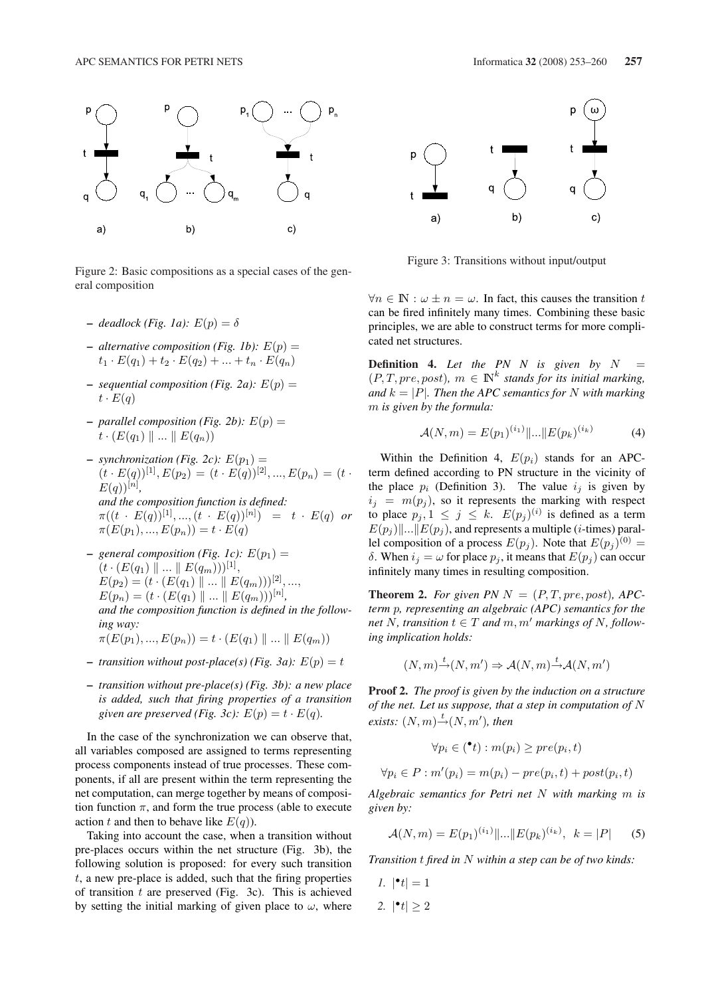

Figure 2: Basic compositions as a special cases of the general composition

- deadlock (Fig. 1a):  $E(p) = \delta$
- alternative composition (Fig. 1b):  $E(p)$  =  $t_1 \cdot E(q_1) + t_2 \cdot E(q_2) + \ldots + t_n \cdot E(q_n)$
- sequential composition (Fig. 2a):  $E(p)$  =  $t\cdot E(a)$
- parallel composition (Fig. 2b):  $E(p)$  =  $t\cdot (E(q_1) \parallel ... \parallel E(q_n))$
- synchronization (Fig. 2c):  $E(p_1)$  =  $(t \cdot E(q))^{[1]}, E(p_2) = (t \cdot E(q))^{[2]}, ..., E(p_n) = (t \cdot E(q))^{[n]}$  $E(q)$ <sup>[n]</sup>, and the composition function is defined:  $\pi((t E(q))^{[1]}, ..., (t E(q))^{[n]}) = t E(q)$  or  $\pi(E(p_1),...,E(p_n))=t\cdot E(q)$
- general composition (Fig. 1c):  $E(p_1)$  =  $(t \cdot (E(q_1) \parallel ... \parallel E(q_m)))^{[1]},$  $E(p_2) = (t \cdot (E(q_1) \parallel ... \parallel E(q_m)))^{[2]}, ...,$  $E(p_n) = (t \cdot (E(q_1) \parallel ... \parallel E(q_m)))^{[n]},$ and the composition function is defined in the following way:  $\pi(E(p_1),...,E(p_n)) = t \cdot (E(q_1) \parallel ... \parallel E(q_m))$
- transition without post-place(s) (Fig. 3a):  $E(p) = t$
- transition without pre-place(s) (Fig. 3b): a new place is added, such that firing properties of a transition given are preserved (Fig. 3c):  $E(p) = t \cdot E(q)$ .

In the case of the synchronization we can observe that, all variables composed are assigned to terms representing process components instead of true processes. These components, if all are present within the term representing the net computation, can merge together by means of composition function  $\pi$ , and form the true process (able to execute action t and then to behave like  $E(q)$ ).

Taking into account the case, when a transition without pre-places occurs within the net structure (Fig. 3b), the following solution is proposed: for every such transition  $t$ , a new pre-place is added, such that the firing properties of transition  $t$  are preserved (Fig. 3c). This is achieved by setting the initial marking of given place to  $\omega$ , where





Figure 3: Transitions without input/output

 $\forall n \in \mathbb{N}: \omega \pm n = \omega$ . In fact, this causes the transition t can be fired infinitely many times. Combining these basic principles, we are able to construct terms for more complicated net structures.

**Definition 4.** Let the PN N is given by  $N =$  $(P, T, pre, post)$ ,  $m \in \mathbb{N}^k$  stands for its initial marking, and  $k = |P|$ . Then the APC semantics for N with marking  $m$  is given by the formula:

$$
\mathcal{A}(N,m) = E(p_1)^{(i_1)} \|\dots \| E(p_k)^{(i_k)} \tag{4}
$$

Within the Definition 4,  $E(p_i)$  stands for an APCterm defined according to PN structure in the vicinity of the place  $p_i$  (Definition 3). The value  $i_j$  is given by  $i_j = m(p_j)$ , so it represents the marking with respect to place  $p_j$ ,  $1 \leq j \leq k$ .  $E(p_j)^{(i)}$  is defined as a term  $E(p_j)||...||E(p_j)$ , and represents a multiple (*i*-times) parallel composition of a process  $E(p_i)$ . Note that  $E(p_i)^{(0)} =$  $\delta$ . When  $i_j = \omega$  for place  $p_j$ , it means that  $E(p_j)$  can occur infinitely many times in resulting composition.

**Theorem 2.** For given PN  $N = (P, T, pre, post)$ , APCterm p, representing an algebraic (APC) semantics for the net N, transition  $t \in T$  and  $m, m'$  markings of N, following implication holds:

$$
(N, m) \stackrel{t}{\rightarrow} (N, m') \Rightarrow \mathcal{A}(N, m) \stackrel{t}{\rightarrow} \mathcal{A}(N, m')
$$

**Proof 2.** The proof is given by the induction on a structure of the net. Let us suppose, that a step in computation of  $N$ exists:  $(N, m) \xrightarrow{t} (N, m')$ , then

$$
\forall p_i \in (\mathbf{e}^t) : m(p_i) \ge pre(p_i, t)
$$

$$
\forall p_i \in P : m'(p_i) = m(p_i) - pre(p_i, t) + post(p_i, t)
$$

Algebraic semantics for Petri net  $N$  with marking  $m$  is given by:

$$
\mathcal{A}(N,m) = E(p_1)^{(i_1)} ||...|| E(p_k)^{(i_k)}, \ \ k = |P| \tag{5}
$$

Transition  $t$  fired in  $N$  within a step can be of two kinds:

1.  $|\cdot|t|=1$ 2.  $|\cdot|t| > 2$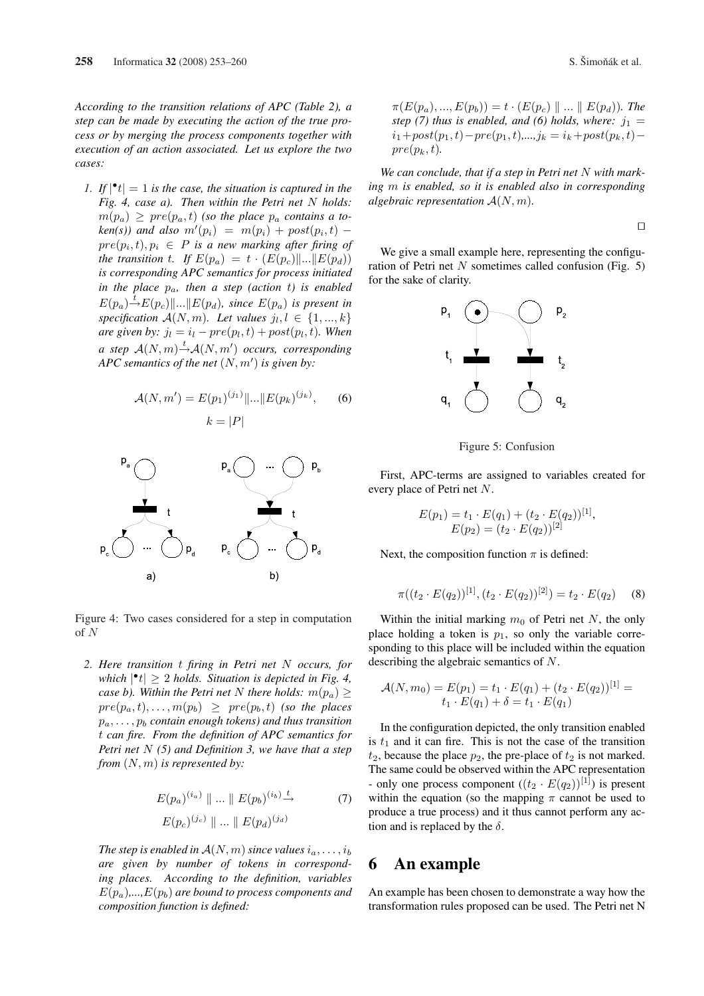According to the transition relations of APC (Table 2), a step can be made by executing the action of the true process or by merging the process components together with execution of an action associated. Let us explore the two cases:

1. If  $|\cdot|$  = 1 is the case, the situation is captured in the Fig. 4, case a). Then within the Petri net  $N$  holds:  $m(p_a) \geq pre(p_a, t)$  (so the place  $p_a$  contains a token(s)) and also  $m'(p_i) = m(p_i) + post(p_i, t)$   $pre(p_i, t), p_i \in P$  is a new marking after firing of the transition t. If  $E(p_a) = t \cdot (E(p_c) ||... || E(p_d))$ is corresponding APC semantics for process initiated in the place  $p_a$ , then a step (action t) is enabled  $E(p_a)^{-1}E(p_c)||...||E(p_d)$ , since  $E(p_a)$  is present in specification  $A(N, m)$ . Let values  $j_l, l \in \{1, ..., k\}$ are given by:  $j_l = i_l - pre(p_l, t) + post(p_l, t)$ . When a step  $A(N, m) \xrightarrow{t} A(N, m')$  occurs, corresponding APC semantics of the net  $(N, m')$  is given by:

$$
\mathcal{A}(N, m') = E(p_1)^{(j_1)} ||...|| E(p_k)^{(j_k)}, \qquad (6)
$$

$$
k = |P|
$$



Figure 4: Two cases considered for a step in computation  $of N$ 

2. Here transition  $t$  firing in Petri net  $N$  occurs, for which  $|\cdot t| \ge 2$  holds. Situation is depicted in Fig. 4, case b). Within the Petri net N there holds:  $m(p_a)$  >  $pre(p_a, t), \ldots, m(p_b) \ge pre(p_b, t)$  (so the places  $p_a, \ldots, p_b$  contain enough tokens) and thus transition t can fire. From the definition of APC semantics for Petri net  $N(5)$  and Definition 3, we have that a step from  $(N, m)$  is represented by:

$$
E(p_a)^{(i_a)} \parallel ... \parallel E(p_b)^{(i_b)} \stackrel{t}{\longrightarrow} \tag{7}
$$

$$
E(p_c)^{(j_c)} \parallel ... \parallel E(p_d)^{(j_d)}
$$

The step is enabled in  $A(N, m)$  since values  $i_a, \ldots, i_b$ are given by number of tokens in corresponding places. According to the definition, variables  $E(p_a)$ ,..., $E(p_b)$  are bound to process components and composition function is defined:

$$
\pi(E(p_a),...,E(p_b)) = t \cdot (E(p_c) \parallel ... \parallel E(p_d)).
$$
 The step (7) thus is enabled, and (6) holds, where:  $j_1 = i_1 + post(p_1, t) - pre(p_1, t),..., j_k = i_k + post(p_k, t) - pre(p_k, t).$ 

We can conclude, that if a step in Petri net  $N$  with marking m is enabled, so it is enabled also in corresponding algebraic representation  $A(N, m)$ .

 $\Box$ 

We give a small example here, representing the configuration of Petri net  $N$  sometimes called confusion (Fig. 5) for the sake of clarity.



Figure 5: Confusion

First, APC-terms are assigned to variables created for every place of Petri net  $N$ .

$$
E(p_1) = t_1 \cdot E(q_1) + (t_2 \cdot E(q_2))^{[1]},
$$
  
 
$$
E(p_2) = (t_2 \cdot E(q_2))^{[2]}
$$

Next, the composition function  $\pi$  is defined:

$$
\pi((t_2 \cdot E(q_2))^{[1]}, (t_2 \cdot E(q_2))^{[2]}) = t_2 \cdot E(q_2) \tag{8}
$$

Within the initial marking  $m_0$  of Petri net N, the only place holding a token is  $p_1$ , so only the variable corresponding to this place will be included within the equation describing the algebraic semantics of  $N$ .

$$
\mathcal{A}(N,m_0) = E(p_1) = t_1 \cdot E(q_1) + (t_2 \cdot E(q_2))^{[1]} = t_1 \cdot E(q_1) + \delta = t_1 \cdot E(q_1)
$$

In the configuration depicted, the only transition enabled is  $t_1$  and it can fire. This is not the case of the transition  $t_2$ , because the place  $p_2$ , the pre-place of  $t_2$  is not marked. The same could be observed within the APC representation - only one process component  $((t_2 \cdot E(q_2))^{[1]})$  is present within the equation (so the mapping  $\pi$  cannot be used to produce a true process) and it thus cannot perform any action and is replaced by the  $\delta$ .

### An example 6

An example has been chosen to demonstrate a way how the transformation rules proposed can be used. The Petri net N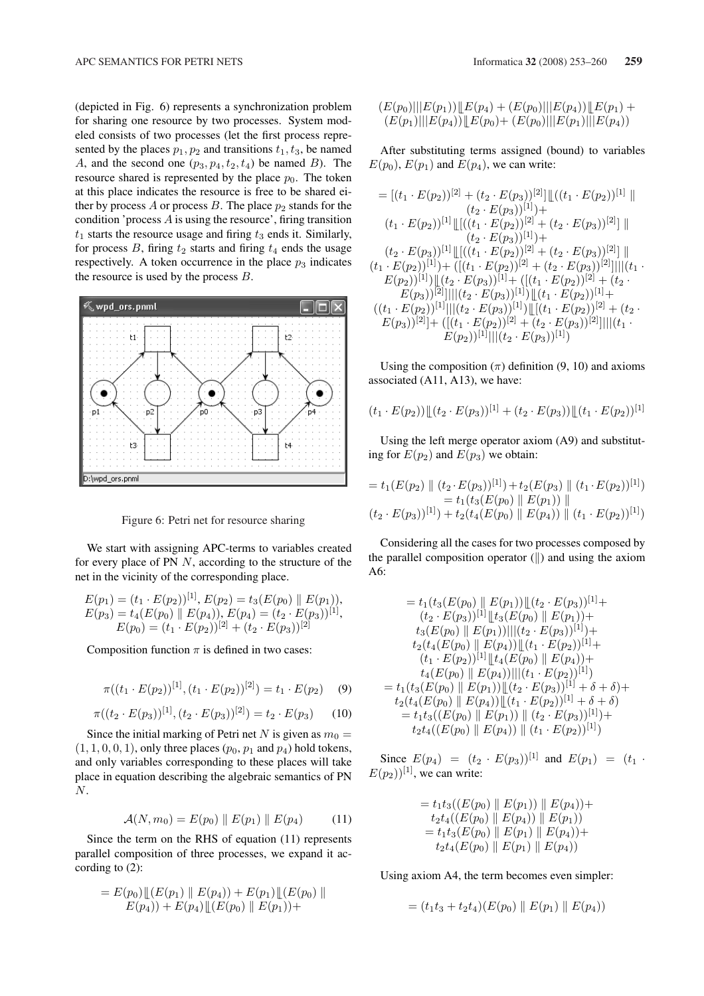(depicted in Fig. 6) represents a synchronization problem for sharing one resource by two processes. System modeled consists of two processes (let the first process represented by the places  $p_1, p_2$  and transitions  $t_1, t_3$ , be named A, and the second one  $(p_3, p_4, t_2, t_4)$  be named B). The resource shared is represented by the place  $p_0$ . The token at this place indicates the resource is free to be shared either by process A or process B. The place  $p_2$  stands for the condition 'process  $A$  is using the resource', firing transition  $t_1$  starts the resource usage and firing  $t_3$  ends it. Similarly, for process  $B$ , firing  $t_2$  starts and firing  $t_4$  ends the usage respectively. A token occurrence in the place  $p_3$  indicates the resource is used by the process  $B$ .



Figure 6: Petri net for resource sharing

We start with assigning APC-terms to variables created for every place of PN  $N$ , according to the structure of the net in the vicinity of the corresponding place.

$$
E(p_1) = (t_1 \cdot E(p_2))^{[1]}, E(p_2) = t_3(E(p_0) \parallel E(p_1)),
$$
  
\n
$$
E(p_3) = t_4(E(p_0) \parallel E(p_4)), E(p_4) = (t_2 \cdot E(p_3))^{[1]},
$$
  
\n
$$
E(p_0) = (t_1 \cdot E(p_2))^{[2]} + (t_2 \cdot E(p_3))^{[2]}
$$

Composition function  $\pi$  is defined in two cases:

$$
\pi((t_1 \cdot E(p_2))^{[1]}, (t_1 \cdot E(p_2))^{[2]}) = t_1 \cdot E(p_2) \quad (9)
$$

$$
\pi((t_2 \cdot E(p_3))^{[1]}, (t_2 \cdot E(p_3))^{[2]}) = t_2 \cdot E(p_3) \tag{10}
$$

Since the initial marking of Petri net N is given as  $m_0 =$  $(1, 1, 0, 0, 1)$ , only three places  $(p_0, p_1 \text{ and } p_4)$  hold tokens, and only variables corresponding to these places will take place in equation describing the algebraic semantics of PN  $N$ .

$$
\mathcal{A}(N, m_0) = E(p_0) \| E(p_1) \| E(p_4)
$$
 (11)

Since the term on the RHS of equation (11) represents parallel composition of three processes, we expand it according to  $(2)$ :

$$
= E(p_0) \mathop{\mathop{\parallel}} (E(p_1) \mathop{\mathop{\parallel}} E(p_4)) + E(p_1) \mathop{\mathop{\parallel}} (E(p_0) \mathop{\mathop{\parallel}} E(p_1)) + E(p_4) \mathop{\mathop{\parallel}} (E(p_0) \mathop{\mathop{\parallel}} E(p_1)) +
$$

$$
(E(p_0)||E(p_1))||E(p_4) + (E(p_0)||E(p_4))||E(p_1) + (E(p_1)||E(p_4))||E(p_4)||E(p_5) + (E(p_0)||E(p_1)||E(p_4))
$$

After substituting terms assigned (bound) to variables  $E(p_0)$ ,  $E(p_1)$  and  $E(p_4)$ , we can write:

$$
= [(t_1 \cdot E(p_2))^{[2]} + (t_2 \cdot E(p_3))^{[2]}] [((t_1 \cdot E(p_2))^{[1]} ||(t_2 \cdot E(p_3))^{[1]}] +(t_1 \cdot E(p_2))^{[1]} [[((t_1 \cdot E(p_2))^{[2]} + (t_2 \cdot E(p_3))^{[2]}] ||(t_2 \cdot E(p_3))^{[1]}] [[((t_1 \cdot E(p_2))^{[2]} + (t_2 \cdot E(p_3))^{[2]}] ||(t_1 \cdot E(p_2))^{[1]}] + ([(t_1 \cdot E(p_2))^{[2]} + (t_2 \cdot E(p_3))^{[2]}] |||(t_1 \cdot E(p_2))^{[1]}] ||(t_2 \cdot E(p_3))^{[1]} + ([(t_1 \cdot E(p_2))^{[2]} + (t_2 \cdot E(p_3))^{[2]}] |||(t_2 \cdot E(p_3))^{[1]} + ([(t_1 \cdot E(p_2))^{[2]} + (t_2 \cdot E(p_3))^{[2]}] |||(t_2 \cdot E(p_3))^{[1]}] ||(t_1 \cdot E(p_2))^{[2]} + (t_2 \cdot E(p_3))^{[2]} + ([(t_1 \cdot E(p_2))^{[2]} + (t_2 \cdot E(p_3))^{[2]}] |||(t_1 \cdot E(p_2))^{[2]} + ([t_1 \cdot E(p_2))^{[2]} + ([t_2 \cdot E(p_3))^{[2]}] |||(t_1 \cdot E(p_2))^{[1]} ||(t_2 \cdot E(p_3))^{[1]}||
$$

Using the composition  $(\pi)$  definition (9, 10) and axioms associated (A11, A13), we have:

$$
(t_1 \cdot E(p_2)) \mathcal{L}(t_2 \cdot E(p_3))^{[1]} + (t_2 \cdot E(p_3)) \mathcal{L}(t_1 \cdot E(p_2))^{[1]}
$$

Using the left merge operator axiom (A9) and substituting for  $E(p_2)$  and  $E(p_3)$  we obtain:

$$
= t_1(E(p_2) \| (t_2 \cdot E(p_3))^{[1]}) + t_2(E(p_3) \| (t_1 \cdot E(p_2))^{[1]})
$$
  
=  $t_1(t_3(E(p_0) \| E(p_1)) \|$   
 $(t_2 \cdot E(p_3))^{[1]}) + t_2(t_4(E(p_0) \| E(p_4)) \| (t_1 \cdot E(p_2))^{[1]})$ 

Considering all the cases for two processes composed by the parallel composition operator  $(\parallel)$  and using the axiom A6:

$$
= t_1(t_3(E(p_0) \parallel E(p_1)) \parallel (t_2 \cdot E(p_3))^{[1]} +
$$
  
\n
$$
(t_2 \cdot E(p_3))^{[1]} \parallel t_3(E(p_0) \parallel E(p_1)) +
$$
  
\n
$$
t_3(E(p_0) \parallel E(p_1)) ||(t_2 \cdot E(p_3))^{[1]}) +
$$
  
\n
$$
t_2(t_4(E(p_0) \parallel E(p_4)) \parallel (t_1 \cdot E(p_2))^{[1]} +
$$
  
\n
$$
(t_1 \cdot E(p_2))^{[1]} \parallel t_4(E(p_0) \parallel E(p_4)) +
$$
  
\n
$$
t_4(E(p_0) \parallel E(p_4)) ||(t_1 \cdot E(p_2))^{[1]}) + \delta + \delta) +
$$
  
\n
$$
t_2(t_4(E(p_0) \parallel E(p_4)) \parallel (t_1 \cdot E(p_2))^{[1]} + \delta + \delta) +
$$
  
\n
$$
t_2t_4(E(p_0) \parallel E(p_1)) \parallel (t_2 \cdot E(p_3))^{[1]}) +
$$
  
\n
$$
t_2t_4((E(p_0) \parallel E(p_4)) \parallel (t_1 \cdot E(p_2))^{[1]})
$$

Since  $E(p_4) = (t_2 \cdot E(p_3))^{[1]}$  and  $E(p_1) = (t_1 \cdot$  $E(p_2)$ <sup>[1]</sup>, we can write:

$$
= t_1t_3((E(p_0) \parallel E(p_1)) \parallel E(p_4)) +t_2t_4((E(p_0) \parallel E(p_4)) \parallel E(p_1))= t_1t_3(E(p_0) \parallel E(p_1) \parallel E(p_4)) +t_2t_4(E(p_0) \parallel E(p_1) \parallel E(p_4))
$$

Using axiom A4, the term becomes even simpler:

$$
= (t_1t_3 + t_2t_4)(E(p_0) \parallel E(p_1) \parallel E(p_4))
$$